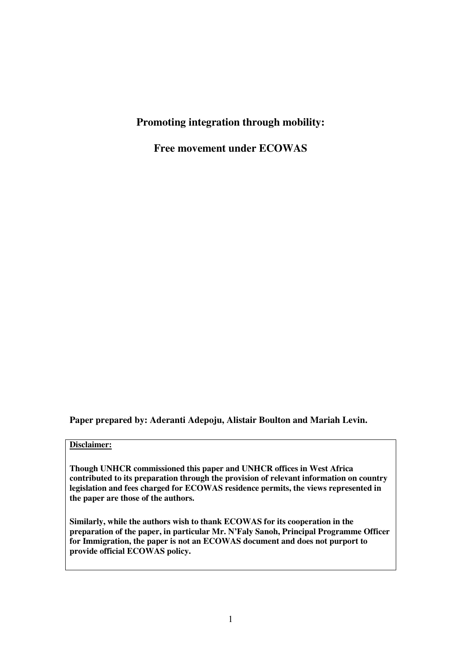**Promoting integration through mobility:** 

**Free movement under ECOWAS** 

**Paper prepared by: Aderanti Adepoju, Alistair Boulton and Mariah Levin.** 

# **Disclaimer:**

**Though UNHCR commissioned this paper and UNHCR offices in West Africa contributed to its preparation through the provision of relevant information on country legislation and fees charged for ECOWAS residence permits, the views represented in the paper are those of the authors.** 

**Similarly, while the authors wish to thank ECOWAS for its cooperation in the preparation of the paper, in particular Mr. N'Faly Sanoh, Principal Programme Officer for Immigration, the paper is not an ECOWAS document and does not purport to provide official ECOWAS policy.**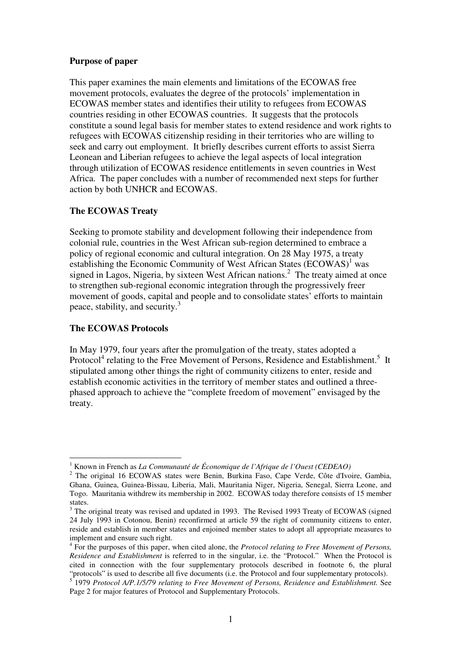# **Purpose of paper**

This paper examines the main elements and limitations of the ECOWAS free movement protocols, evaluates the degree of the protocols' implementation in ECOWAS member states and identifies their utility to refugees from ECOWAS countries residing in other ECOWAS countries. It suggests that the protocols constitute a sound legal basis for member states to extend residence and work rights to refugees with ECOWAS citizenship residing in their territories who are willing to seek and carry out employment. It briefly describes current efforts to assist Sierra Leonean and Liberian refugees to achieve the legal aspects of local integration through utilization of ECOWAS residence entitlements in seven countries in West Africa. The paper concludes with a number of recommended next steps for further action by both UNHCR and ECOWAS.

# **The ECOWAS Treaty**

Seeking to promote stability and development following their independence from colonial rule, countries in the West African sub-region determined to embrace a policy of regional economic and cultural integration. On 28 May 1975, a treaty establishing the Economic Community of West African States (ECOWAS)<sup>1</sup> was signed in Lagos, Nigeria, by sixteen West African nations.<sup>2</sup> The treaty aimed at once to strengthen sub-regional economic integration through the progressively freer movement of goods, capital and people and to consolidate states' efforts to maintain peace, stability, and security.<sup>3</sup>

# **The ECOWAS Protocols**

In May 1979, four years after the promulgation of the treaty, states adopted a Protocol<sup>4</sup> relating to the Free Movement of Persons, Residence and Establishment.<sup>5</sup> It stipulated among other things the right of community citizens to enter, reside and establish economic activities in the territory of member states and outlined a threephased approach to achieve the "complete freedom of movement" envisaged by the treaty.

 $\overline{a}$ 1 Known in French as *La Communauté de Économique de l'Afrique de l'Ouest (CEDEAO)*

<sup>&</sup>lt;sup>2</sup> The original 16 ECOWAS states were Benin, Burkina Faso, Cape Verde, Côte d'Ivoire, Gambia, Ghana, Guinea, Guinea-Bissau, Liberia, Mali, Mauritania Niger, Nigeria, Senegal, Sierra Leone, and Togo. Mauritania withdrew its membership in 2002. ECOWAS today therefore consists of 15 member states.

<sup>&</sup>lt;sup>3</sup> The original treaty was revised and updated in 1993. The Revised 1993 Treaty of ECOWAS (signed 24 July 1993 in Cotonou, Benin) reconfirmed at article 59 the right of community citizens to enter, reside and establish in member states and enjoined member states to adopt all appropriate measures to implement and ensure such right.

<sup>&</sup>lt;sup>4</sup> For the purposes of this paper, when cited alone, the *Protocol relating to Free Movement of Persons*, *Residence and Establishment* is referred to in the singular, i.e. the "Protocol." When the Protocol is cited in connection with the four supplementary protocols described in footnote 6, the plural "protocols" is used to describe all five documents (i.e. the Protocol and four supplementary protocols).

<sup>5</sup> 1979 *Protocol A/P.1/5/79 relating to Free Movement of Persons, Residence and Establishment.* See Page 2 for major features of Protocol and Supplementary Protocols.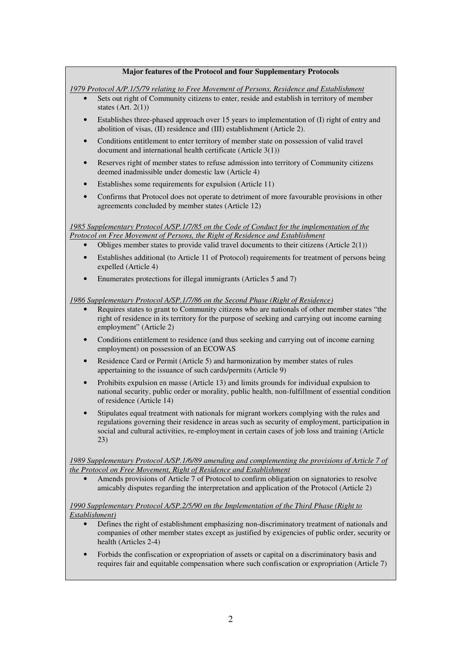#### **Major features of the Protocol and four Supplementary Protocols**

*1979 Protocol A/P.1/5/79 relating to Free Movement of Persons, Residence and Establishment*

- Sets out right of Community citizens to enter, reside and establish in territory of member states (Art. 2(1))
- Establishes three-phased approach over 15 years to implementation of (I) right of entry and abolition of visas, (II) residence and (III) establishment (Article 2).
- Conditions entitlement to enter territory of member state on possession of valid travel document and international health certificate (Article 3(1))
- Reserves right of member states to refuse admission into territory of Community citizens deemed inadmissible under domestic law (Article 4)
- Establishes some requirements for expulsion (Article 11)
- Confirms that Protocol does not operate to detriment of more favourable provisions in other agreements concluded by member states (Article 12)

#### *1985 Supplementary Protocol A/SP.1/7/85 on the Code of Conduct for the implementation of the Protocol on Free Movement of Persons, the Right of Residence and Establishment*

- Obliges member states to provide valid travel documents to their citizens (Article  $2(1)$ )
- Establishes additional (to Article 11 of Protocol) requirements for treatment of persons being expelled (Article 4)
- Enumerates protections for illegal immigrants (Articles 5 and 7)

#### *1986 Supplementary Protocol A/SP.1/7/86 on the Second Phase (Right of Residence)*

- Requires states to grant to Community citizens who are nationals of other member states "the right of residence in its territory for the purpose of seeking and carrying out income earning employment" (Article 2)
- Conditions entitlement to residence (and thus seeking and carrying out of income earning employment) on possession of an ECOWAS
- Residence Card or Permit (Article 5) and harmonization by member states of rules appertaining to the issuance of such cards/permits (Article 9)
- Prohibits expulsion en masse (Article 13) and limits grounds for individual expulsion to national security, public order or morality, public health, non-fulfillment of essential condition of residence (Article 14)
- Stipulates equal treatment with nationals for migrant workers complying with the rules and regulations governing their residence in areas such as security of employment, participation in social and cultural activities, re-employment in certain cases of job loss and training (Article 23)

*1989 Supplementary Protocol A/SP.1/6/89 amending and complementing the provisions of Article 7 of the Protocol on Free Movement, Right of Residence and Establishment*

Amends provisions of Article 7 of Protocol to confirm obligation on signatories to resolve amicably disputes regarding the interpretation and application of the Protocol (Article 2)

*1990 Supplementary Protocol A/SP.2/5/90 on the Implementation of the Third Phase (Right to Establishment)*

- Defines the right of establishment emphasizing non-discriminatory treatment of nationals and companies of other member states except as justified by exigencies of public order, security or health (Articles 2-4)
- Forbids the confiscation or expropriation of assets or capital on a discriminatory basis and requires fair and equitable compensation where such confiscation or expropriation (Article 7)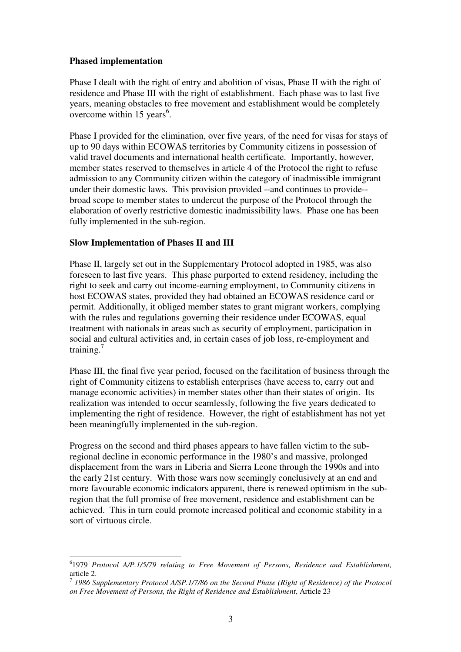# **Phased implementation**

Phase I dealt with the right of entry and abolition of visas, Phase II with the right of residence and Phase III with the right of establishment. Each phase was to last five years, meaning obstacles to free movement and establishment would be completely overcome within  $15$  years<sup>6</sup>.

Phase I provided for the elimination, over five years, of the need for visas for stays of up to 90 days within ECOWAS territories by Community citizens in possession of valid travel documents and international health certificate. Importantly, however, member states reserved to themselves in article 4 of the Protocol the right to refuse admission to any Community citizen within the category of inadmissible immigrant under their domestic laws. This provision provided --and continues to provide- broad scope to member states to undercut the purpose of the Protocol through the elaboration of overly restrictive domestic inadmissibility laws. Phase one has been fully implemented in the sub-region.

# **Slow Implementation of Phases II and III**

Phase II, largely set out in the Supplementary Protocol adopted in 1985, was also foreseen to last five years. This phase purported to extend residency, including the right to seek and carry out income-earning employment, to Community citizens in host ECOWAS states, provided they had obtained an ECOWAS residence card or permit. Additionally, it obliged member states to grant migrant workers, complying with the rules and regulations governing their residence under ECOWAS, equal treatment with nationals in areas such as security of employment, participation in social and cultural activities and, in certain cases of job loss, re-employment and training.<sup>7</sup>

Phase III, the final five year period, focused on the facilitation of business through the right of Community citizens to establish enterprises (have access to, carry out and manage economic activities) in member states other than their states of origin. Its realization was intended to occur seamlessly, following the five years dedicated to implementing the right of residence. However, the right of establishment has not yet been meaningfully implemented in the sub-region.

Progress on the second and third phases appears to have fallen victim to the subregional decline in economic performance in the 1980's and massive, prolonged displacement from the wars in Liberia and Sierra Leone through the 1990s and into the early 21st century. With those wars now seemingly conclusively at an end and more favourable economic indicators apparent, there is renewed optimism in the subregion that the full promise of free movement, residence and establishment can be achieved. This in turn could promote increased political and economic stability in a sort of virtuous circle.

 $\overline{a}$ 6 1979 *Protocol A/P.1/5/79 relating to Free Movement of Persons, Residence and Establishment,*  article 2.

<sup>7</sup> *1986 Supplementary Protocol A/SP.1/7/86 on the Second Phase (Right of Residence) of the Protocol on Free Movement of Persons, the Right of Residence and Establishment,* Article 23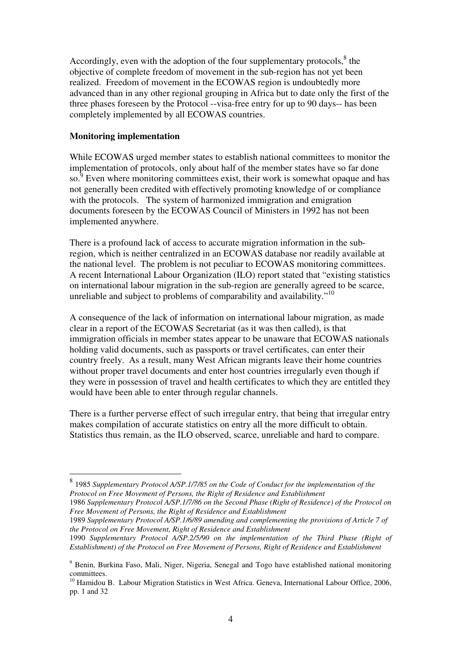Accordingly, even with the adoption of the four supplementary protocols, $^8$  the objective of complete freedom of movement in the sub-region has not yet been realized. Freedom of movement in the ECOWAS region is undoubtedly more advanced than in any other regional grouping in Africa but to date only the first of the three phases foreseen by the Protocol --visa-free entry for up to 90 days-- has been completely implemented by all ECOWAS countries.

### **Monitoring implementation**

While ECOWAS urged member states to establish national committees to monitor the implementation of protocols, only about half of the member states have so far done so.<sup>9</sup> Even where monitoring committees exist, their work is somewhat opaque and has not generally been credited with effectively promoting knowledge of or compliance with the protocols. The system of harmonized immigration and emigration documents foreseen by the ECOWAS Council of Ministers in 1992 has not been implemented anywhere.

There is a profound lack of access to accurate migration information in the subregion, which is neither centralized in an ECOWAS database nor readily available at the national level. The problem is not peculiar to ECOWAS monitoring committees. A recent International Labour Organization (ILO) report stated that "existing statistics on international labour migration in the sub-region are generally agreed to be scarce, unreliable and subject to problems of comparability and availability."<sup>10</sup>

A consequence of the lack of information on international labour migration, as made clear in a report of the ECOWAS Secretariat (as it was then called), is that immigration officials in member states appear to be unaware that ECOWAS nationals holding valid documents, such as passports or travel certificates, can enter their country freely. As a result, many West African migrants leave their home countries without proper travel documents and enter host countries irregularly even though if they were in possession of travel and health certificates to which they are entitled they would have been able to enter through regular channels.

There is a further perverse effect of such irregular entry, that being that irregular entry makes compilation of accurate statistics on entry all the more difficult to obtain. Statistics thus remain, as the ILO observed, scarce, unreliable and hard to compare.

 8 1985 *Supplementary Protocol A/SP.1/7/85 on the Code of Conduct for the implementation of the Protocol on Free Movement of Persons, the Right of Residence and Establishment* 

<sup>1986</sup> *Supplementary Protocol A/SP.1/7/86 on the Second Phase (Right of Residence) of the Protocol on Free Movement of Persons, the Right of Residence and Establishment* 

<sup>1989</sup> *Supplementary Protocol A/SP.1/6/89 amending and complementing the provisions of Article 7 of the Protocol on Free Movement, Right of Residence and Establishment* 

<sup>1990</sup> *Supplementary Protocol A/SP.2/5/90 on the implementation of the Third Phase (Right of Establishment) of the Protocol on Free Movement of Persons, Right of Residence and Establishment* 

<sup>&</sup>lt;sup>9</sup> Benin, Burkina Faso, Mali, Niger, Nigeria, Senegal and Togo have established national monitoring committees.

<sup>&</sup>lt;sup>10</sup> Hamidou B. Labour Migration Statistics in West Africa. Geneva, International Labour Office, 2006, pp. 1 and 32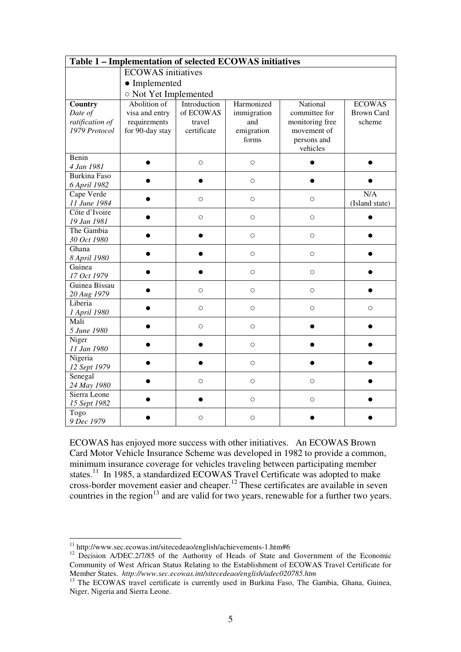| Table 1 – Implementation of selected ECOWAS initiatives       |                                                                   |                                                    |                                                         |                                                                                        |                                              |  |
|---------------------------------------------------------------|-------------------------------------------------------------------|----------------------------------------------------|---------------------------------------------------------|----------------------------------------------------------------------------------------|----------------------------------------------|--|
|                                                               | <b>ECOWAS</b> initiatives                                         |                                                    |                                                         |                                                                                        |                                              |  |
|                                                               | • Implemented                                                     |                                                    |                                                         |                                                                                        |                                              |  |
|                                                               | o Not Yet Implemented                                             |                                                    |                                                         |                                                                                        |                                              |  |
| <b>Country</b><br>Date of<br>ratification of<br>1979 Protocol | Abolition of<br>visa and entry<br>requirements<br>for 90-day stay | Introduction<br>of ECOWAS<br>travel<br>certificate | Harmonized<br>immigration<br>and<br>emigration<br>forms | National<br>committee for<br>monitoring free<br>movement of<br>persons and<br>vehicles | <b>ECOWAS</b><br><b>Brown Card</b><br>scheme |  |
| Benin<br>4 Jan 1981                                           |                                                                   | $\circ$                                            | $\circ$                                                 |                                                                                        |                                              |  |
| <b>Burkina Faso</b><br>6 April 1982                           |                                                                   |                                                    | $\circ$                                                 |                                                                                        |                                              |  |
| Cape Verde<br>11 June 1984                                    |                                                                   | $\circ$                                            | $\circ$                                                 | $\circ$                                                                                | N/A<br>(Island state)                        |  |
| Côte d'Ivoire<br>19 Jan 1981                                  |                                                                   | $\circ$                                            | $\circ$                                                 | $\circ$                                                                                |                                              |  |
| The Gambia<br>30 Oct 1980                                     |                                                                   |                                                    | $\circ$                                                 | $\circ$                                                                                |                                              |  |
| Ghana<br>8 April 1980                                         |                                                                   |                                                    | $\circ$                                                 | $\circ$                                                                                |                                              |  |
| Guinea<br>17 Oct 1979                                         |                                                                   |                                                    | $\circ$                                                 | $\circ$                                                                                |                                              |  |
| Guinea Bissau<br>20 Aug 1979                                  |                                                                   | $\circ$                                            | $\circ$                                                 | $\bigcirc$                                                                             |                                              |  |
| Liberia<br>1 April 1980                                       |                                                                   | $\circ$                                            | $\circ$                                                 | $\circ$                                                                                | $\circ$                                      |  |
| Mali<br>5 June 1980                                           |                                                                   | $\circ$                                            | $\circ$                                                 |                                                                                        |                                              |  |
| Niger<br>11 Jan 1980                                          |                                                                   |                                                    | $\circ$                                                 |                                                                                        |                                              |  |
| Nigeria<br>12 Sept 1979                                       |                                                                   |                                                    | $\circ$                                                 |                                                                                        |                                              |  |
| Senegal<br>24 May 1980                                        |                                                                   | $\circ$                                            | $\bigcirc$                                              | $\bigcirc$                                                                             |                                              |  |
| Sierra Leone<br>15 Sept 1982                                  |                                                                   |                                                    | $\circ$                                                 | $\circ$                                                                                |                                              |  |
| Togo<br>9 Dec 1979                                            |                                                                   | $\circ$                                            | $\circ$                                                 |                                                                                        |                                              |  |

ECOWAS has enjoyed more success with other initiatives. An ECOWAS Brown Card Motor Vehicle Insurance Scheme was developed in 1982 to provide a common, minimum insurance coverage for vehicles traveling between participating member states.<sup>11</sup> In 1985, a standardized ECOWAS Travel Certificate was adopted to make cross-border movement easier and cheaper.<sup>12</sup> These certificates are available in seven countries in the region<sup>13</sup> and are valid for two years, renewable for a further two years.

 $\overline{a}$ 

<sup>11</sup> http://www.sec.ecowas.int/sitecedeao/english/achievements-1.htm#6

<sup>&</sup>lt;sup>12</sup> Decision A/DEC.2/7/85 of the Authority of Heads of State and Government of the Economic Community of West African Status Relating to the Establishment of ECOWAS Travel Certificate for Member States. *http://www.sec.ecowas.int/sitecedeao/english/adec020785.htm*

<sup>&</sup>lt;sup>13</sup> The ECOWAS travel certificate is currently used in Burkina Faso, The Gambia, Ghana, Guinea, Niger, Nigeria and Sierra Leone.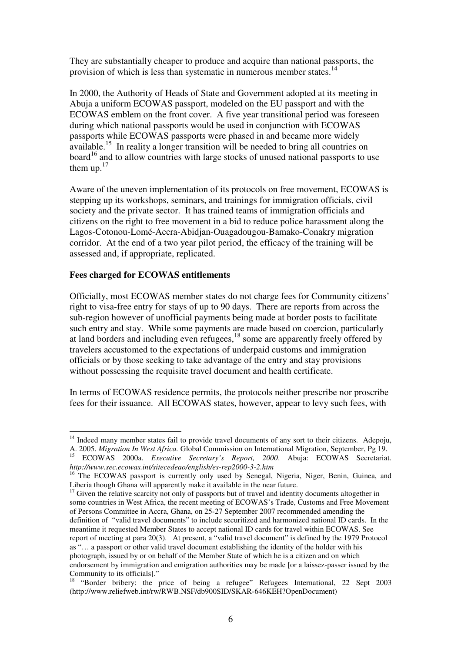They are substantially cheaper to produce and acquire than national passports, the provision of which is less than systematic in numerous member states.<sup>14</sup>

In 2000, the Authority of Heads of State and Government adopted at its meeting in Abuja a uniform ECOWAS passport, modeled on the EU passport and with the ECOWAS emblem on the front cover. A five year transitional period was foreseen during which national passports would be used in conjunction with ECOWAS passports while ECOWAS passports were phased in and became more widely available.<sup>15</sup> In reality a longer transition will be needed to bring all countries on board<sup>16</sup> and to allow countries with large stocks of unused national passports to use them  $up.^{17}$ 

Aware of the uneven implementation of its protocols on free movement, ECOWAS is stepping up its workshops, seminars, and trainings for immigration officials, civil society and the private sector. It has trained teams of immigration officials and citizens on the right to free movement in a bid to reduce police harassment along the Lagos-Cotonou-Lomé-Accra-Abidjan-Ouagadougou-Bamako-Conakry migration corridor. At the end of a two year pilot period, the efficacy of the training will be assessed and, if appropriate, replicated.

### **Fees charged for ECOWAS entitlements**

 $\overline{a}$ 

Officially, most ECOWAS member states do not charge fees for Community citizens' right to visa-free entry for stays of up to 90 days. There are reports from across the sub-region however of unofficial payments being made at border posts to facilitate such entry and stay. While some payments are made based on coercion, particularly at land borders and including even refugees,<sup>18</sup> some are apparently freely offered by travelers accustomed to the expectations of underpaid customs and immigration officials or by those seeking to take advantage of the entry and stay provisions without possessing the requisite travel document and health certificate.

In terms of ECOWAS residence permits, the protocols neither prescribe nor proscribe fees for their issuance. All ECOWAS states, however, appear to levy such fees, with

<sup>&</sup>lt;sup>14</sup> Indeed many member states fail to provide travel documents of any sort to their citizens. Adepoju, A. 2005. *Migration In West Africa.* Global Commission on International Migration, September, Pg 19. <sup>15</sup> ECOWAS 2000a. *Executive Secretary's Report, 2000*. Abuja: ECOWAS Secretariat.

*http://www.sec.ecowas.int/sitecedeao/english/es-rep2000-3-2.htm*

<sup>&</sup>lt;sup>16</sup> The ECOWAS passport is currently only used by Senegal, Nigeria, Niger, Benin, Guinea, and Liberia though Ghana will apparently make it available in the near future.

<sup>&</sup>lt;sup>17</sup> Given the relative scarcity not only of passports but of travel and identity documents altogether in some countries in West Africa, the recent meeting of ECOWAS's Trade, Customs and Free Movement of Persons Committee in Accra, Ghana, on 25-27 September 2007 recommended amending the definition of "valid travel documents" to include securitized and harmonized national ID cards. In the meantime it requested Member States to accept national ID cards for travel within ECOWAS. See report of meeting at para 20(3). At present, a "valid travel document" is defined by the 1979 Protocol as "… a passport or other valid travel document establishing the identity of the holder with his photograph, issued by or on behalf of the Member State of which he is a citizen and on which endorsement by immigration and emigration authorities may be made [or a laissez-passer issued by the Community to its officials]."

<sup>&</sup>lt;sup>18</sup> "Border bribery: the price of being a refugee" Refugees International, 22 Sept 2003 (http://www.reliefweb.int/rw/RWB.NSF/db900SID/SKAR-646KEH?OpenDocument)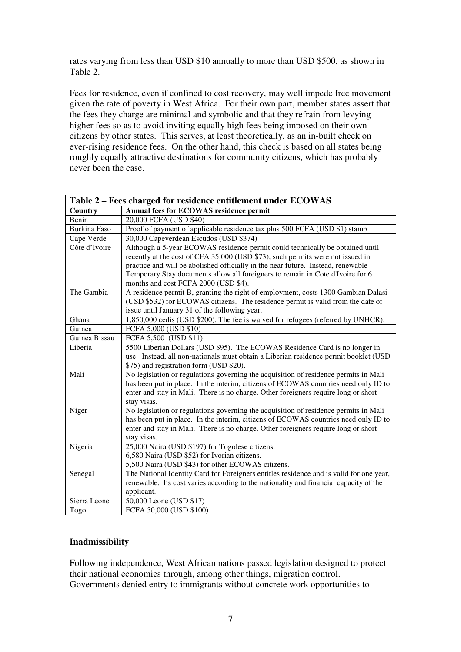rates varying from less than USD \$10 annually to more than USD \$500, as shown in Table 2.

Fees for residence, even if confined to cost recovery, may well impede free movement given the rate of poverty in West Africa. For their own part, member states assert that the fees they charge are minimal and symbolic and that they refrain from levying higher fees so as to avoid inviting equally high fees being imposed on their own citizens by other states. This serves, at least theoretically, as an in-built check on ever-rising residence fees. On the other hand, this check is based on all states being roughly equally attractive destinations for community citizens, which has probably never been the case.

| Table 2 – Fees charged for residence entitlement under ECOWAS |                                                                                         |  |  |  |
|---------------------------------------------------------------|-----------------------------------------------------------------------------------------|--|--|--|
| Country                                                       | Annual fees for ECOWAS residence permit                                                 |  |  |  |
| Benin                                                         | 20,000 FCFA (USD \$40)                                                                  |  |  |  |
| <b>Burkina Faso</b>                                           | Proof of payment of applicable residence tax plus 500 FCFA (USD \$1) stamp              |  |  |  |
| Cape Verde                                                    | 30,000 Capeverdean Escudos (USD \$374)                                                  |  |  |  |
| Côte d'Ivoire                                                 | Although a 5-year ECOWAS residence permit could technically be obtained until           |  |  |  |
|                                                               | recently at the cost of CFA 35,000 (USD \$73), such permits were not issued in          |  |  |  |
|                                                               | practice and will be abolished officially in the near future. Instead, renewable        |  |  |  |
|                                                               | Temporary Stay documents allow all foreigners to remain in Cote d'Ivoire for 6          |  |  |  |
|                                                               | months and cost FCFA 2000 (USD \$4).                                                    |  |  |  |
| The Gambia                                                    | A residence permit B, granting the right of employment, costs 1300 Gambian Dalasi       |  |  |  |
|                                                               | (USD \$532) for ECOWAS citizens. The residence permit is valid from the date of         |  |  |  |
|                                                               | issue until January 31 of the following year.                                           |  |  |  |
| Ghana                                                         | 1,850,000 cedis (USD \$200). The fee is waived for refugees (referred by UNHCR).        |  |  |  |
| Guinea                                                        | FCFA 5,000 (USD \$10)                                                                   |  |  |  |
| Guinea Bissau                                                 | FCFA 5,500 (USD \$11)                                                                   |  |  |  |
| Liberia                                                       | 5500 Liberian Dollars (USD \$95). The ECOWAS Residence Card is no longer in             |  |  |  |
|                                                               | use. Instead, all non-nationals must obtain a Liberian residence permit booklet (USD)   |  |  |  |
|                                                               | \$75) and registration form (USD \$20).                                                 |  |  |  |
| Mali                                                          | No legislation or regulations governing the acquisition of residence permits in Mali    |  |  |  |
|                                                               | has been put in place. In the interim, citizens of ECOWAS countries need only ID to     |  |  |  |
|                                                               | enter and stay in Mali. There is no charge. Other foreigners require long or short-     |  |  |  |
|                                                               | stay visas.                                                                             |  |  |  |
| Niger                                                         | No legislation or regulations governing the acquisition of residence permits in Mali    |  |  |  |
|                                                               | has been put in place. In the interim, citizens of ECOWAS countries need only ID to     |  |  |  |
|                                                               | enter and stay in Mali. There is no charge. Other foreigners require long or short-     |  |  |  |
|                                                               | stay visas.                                                                             |  |  |  |
| Nigeria                                                       | 25,000 Naira (USD \$197) for Togolese citizens.                                         |  |  |  |
|                                                               | 6,580 Naira (USD \$52) for Ivorian citizens.                                            |  |  |  |
|                                                               | 5,500 Naira (USD \$43) for other ECOWAS citizens.                                       |  |  |  |
| Senegal                                                       | The National Identity Card for Foreigners entitles residence and is valid for one year, |  |  |  |
|                                                               | renewable. Its cost varies according to the nationality and financial capacity of the   |  |  |  |
|                                                               | applicant.                                                                              |  |  |  |
| Sierra Leone                                                  | 50,000 Leone (USD \$17)                                                                 |  |  |  |
| Togo                                                          | FCFA 50,000 (USD \$100)                                                                 |  |  |  |

# **Inadmissibility**

Following independence, West African nations passed legislation designed to protect their national economies through, among other things, migration control. Governments denied entry to immigrants without concrete work opportunities to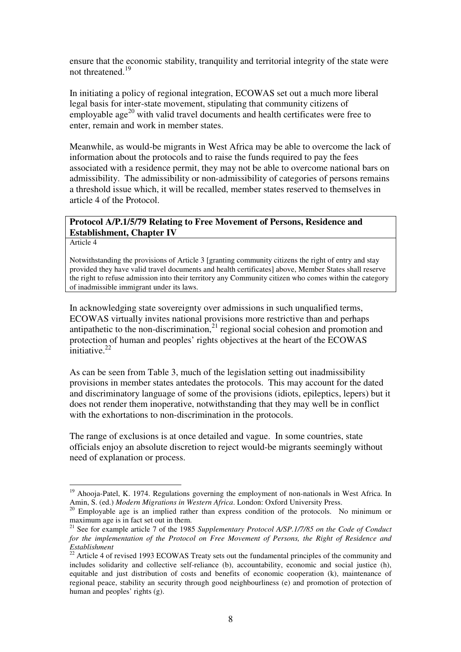ensure that the economic stability, tranquility and territorial integrity of the state were not threatened.<sup>19</sup>

In initiating a policy of regional integration, ECOWAS set out a much more liberal legal basis for inter-state movement, stipulating that community citizens of employable age<sup>20</sup> with valid travel documents and health certificates were free to enter, remain and work in member states.

Meanwhile, as would-be migrants in West Africa may be able to overcome the lack of information about the protocols and to raise the funds required to pay the fees associated with a residence permit, they may not be able to overcome national bars on admissibility. The admissibility or non-admissibility of categories of persons remains a threshold issue which, it will be recalled, member states reserved to themselves in article 4 of the Protocol.

# **Protocol A/P.1/5/79 Relating to Free Movement of Persons, Residence and Establishment, Chapter IV**

Article 4

l

Notwithstanding the provisions of Article 3 [granting community citizens the right of entry and stay provided they have valid travel documents and health certificates] above, Member States shall reserve the right to refuse admission into their territory any Community citizen who comes within the category of inadmissible immigrant under its laws.

In acknowledging state sovereignty over admissions in such unqualified terms, ECOWAS virtually invites national provisions more restrictive than and perhaps antipathetic to the non-discrimination, $2^{1}$  regional social cohesion and promotion and protection of human and peoples' rights objectives at the heart of the ECOWAS  $\frac{1}{2}$ initiative.<sup>22</sup>

As can be seen from Table 3, much of the legislation setting out inadmissibility provisions in member states antedates the protocols. This may account for the dated and discriminatory language of some of the provisions (idiots, epileptics, lepers) but it does not render them inoperative, notwithstanding that they may well be in conflict with the exhortations to non-discrimination in the protocols.

The range of exclusions is at once detailed and vague. In some countries, state officials enjoy an absolute discretion to reject would-be migrants seemingly without need of explanation or process.

<sup>&</sup>lt;sup>19</sup> Ahooja-Patel, K. 1974. Regulations governing the employment of non-nationals in West Africa. In Amin, S. (ed.) *Modern Migrations in Western Africa*. London: Oxford University Press.

<sup>&</sup>lt;sup>20</sup> Employable age is an implied rather than express condition of the protocols. No minimum or maximum age is in fact set out in them.

<sup>21</sup> See for example article 7 of the 1985 *Supplementary Protocol A/SP.1/7/85 on the Code of Conduct for the implementation of the Protocol on Free Movement of Persons, the Right of Residence and Establishment*

<sup>&</sup>lt;sup>22</sup> Article 4 of revised 1993 ECOWAS Treaty sets out the fundamental principles of the community and includes solidarity and collective self-reliance (b), accountability, economic and social justice (h), equitable and just distribution of costs and benefits of economic cooperation (k), maintenance of regional peace, stability an security through good neighbourliness (e) and promotion of protection of human and peoples' rights (g).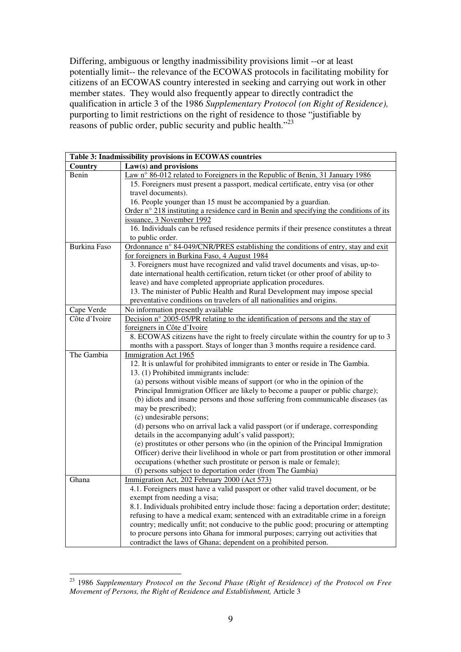Differing, ambiguous or lengthy inadmissibility provisions limit --or at least potentially limit-- the relevance of the ECOWAS protocols in facilitating mobility for citizens of an ECOWAS country interested in seeking and carrying out work in other member states. They would also frequently appear to directly contradict the qualification in article 3 of the 1986 *Supplementary Protocol (on Right of Residence),*  purporting to limit restrictions on the right of residence to those "justifiable by reasons of public order, public security and public health."<sup>23</sup>

| Table 3: Inadmissibility provisions in ECOWAS countries |                                                                                                  |  |  |  |  |
|---------------------------------------------------------|--------------------------------------------------------------------------------------------------|--|--|--|--|
| Country                                                 | $Law(s)$ and provisions                                                                          |  |  |  |  |
| Benin                                                   | Law n° 86-012 related to Foreigners in the Republic of Benin, 31 January 1986                    |  |  |  |  |
|                                                         | 15. Foreigners must present a passport, medical certificate, entry visa (or other                |  |  |  |  |
|                                                         | travel documents).                                                                               |  |  |  |  |
|                                                         | 16. People younger than 15 must be accompanied by a guardian.                                    |  |  |  |  |
|                                                         | Order $n^{\circ}$ 218 instituting a residence card in Benin and specifying the conditions of its |  |  |  |  |
|                                                         | issuance, 3 November 1992                                                                        |  |  |  |  |
|                                                         | 16. Individuals can be refused residence permits if their presence constitutes a threat          |  |  |  |  |
|                                                         | to public order.                                                                                 |  |  |  |  |
| <b>Burkina Faso</b>                                     | Ordonnance n° 84-049/CNR/PRES establishing the conditions of entry, stay and exit                |  |  |  |  |
|                                                         | for foreigners in Burkina Faso, 4 August 1984                                                    |  |  |  |  |
|                                                         | 3. Foreigners must have recognized and valid travel documents and visas, up-to-                  |  |  |  |  |
|                                                         | date international health certification, return ticket (or other proof of ability to             |  |  |  |  |
|                                                         | leave) and have completed appropriate application procedures.                                    |  |  |  |  |
|                                                         | 13. The minister of Public Health and Rural Development may impose special                       |  |  |  |  |
|                                                         | preventative conditions on travelers of all nationalities and origins.                           |  |  |  |  |
| Cape Verde                                              | No information presently available                                                               |  |  |  |  |
| Côte d'Ivoire                                           | Decision $n^{\circ}$ 2005-05/PR relating to the identification of persons and the stay of        |  |  |  |  |
|                                                         | foreigners in Côte d'Ivoire                                                                      |  |  |  |  |
|                                                         | 8. ECOWAS citizens have the right to freely circulate within the country for up to 3             |  |  |  |  |
|                                                         | months with a passport. Stays of longer than 3 months require a residence card.                  |  |  |  |  |
| The Gambia                                              | Immigration Act 1965                                                                             |  |  |  |  |
|                                                         | 12. It is unlawful for prohibited immigrants to enter or reside in The Gambia.                   |  |  |  |  |
|                                                         | 13. (1) Prohibited immigrants include:                                                           |  |  |  |  |
|                                                         | (a) persons without visible means of support (or who in the opinion of the                       |  |  |  |  |
|                                                         | Principal Immigration Officer are likely to become a pauper or public charge);                   |  |  |  |  |
|                                                         | (b) idiots and insane persons and those suffering from communicable diseases (as                 |  |  |  |  |
|                                                         | may be prescribed);                                                                              |  |  |  |  |
|                                                         | (c) undesirable persons;                                                                         |  |  |  |  |
|                                                         | (d) persons who on arrival lack a valid passport (or if underage, corresponding                  |  |  |  |  |
|                                                         | details in the accompanying adult's valid passport);                                             |  |  |  |  |
|                                                         | (e) prostitutes or other persons who (in the opinion of the Principal Immigration                |  |  |  |  |
|                                                         | Officer) derive their livelihood in whole or part from prostitution or other immoral             |  |  |  |  |
|                                                         | occupations (whether such prostitute or person is male or female);                               |  |  |  |  |
|                                                         | (f) persons subject to deportation order (from The Gambia)                                       |  |  |  |  |
| Ghana                                                   | Immigration Act, 202 February 2000 (Act 573)                                                     |  |  |  |  |
|                                                         | 4.1. Foreigners must have a valid passport or other valid travel document, or be                 |  |  |  |  |
|                                                         | exempt from needing a visa;                                                                      |  |  |  |  |
|                                                         | 8.1. Individuals prohibited entry include those: facing a deportation order; destitute;          |  |  |  |  |
|                                                         | refusing to have a medical exam; sentenced with an extraditable crime in a foreign               |  |  |  |  |
|                                                         | country; medically unfit; not conducive to the public good; procuring or attempting              |  |  |  |  |
|                                                         | to procure persons into Ghana for immoral purposes; carrying out activities that                 |  |  |  |  |
|                                                         | contradict the laws of Ghana; dependent on a prohibited person.                                  |  |  |  |  |

 $\overline{a}$ <sup>23</sup> 1986 *Supplementary Protocol on the Second Phase (Right of Residence) of the Protocol on Free Movement of Persons, the Right of Residence and Establishment,* Article 3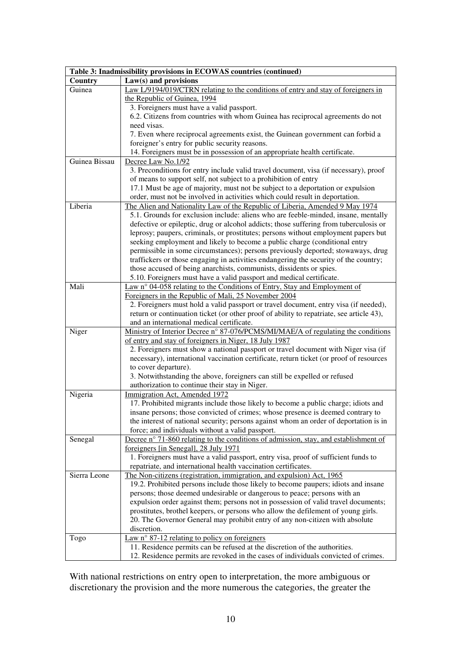|               | Table 3: Inadmissibility provisions in ECOWAS countries (continued)                                                                                            |  |  |  |
|---------------|----------------------------------------------------------------------------------------------------------------------------------------------------------------|--|--|--|
| Country       | $Law(s)$ and provisions                                                                                                                                        |  |  |  |
| Guinea        | Law L/9194/019/CTRN relating to the conditions of entry and stay of foreigners in                                                                              |  |  |  |
|               | the Republic of Guinea, 1994                                                                                                                                   |  |  |  |
|               | 3. Foreigners must have a valid passport.                                                                                                                      |  |  |  |
|               | 6.2. Citizens from countries with whom Guinea has reciprocal agreements do not                                                                                 |  |  |  |
|               | need visas.                                                                                                                                                    |  |  |  |
|               | 7. Even where reciprocal agreements exist, the Guinean government can forbid a                                                                                 |  |  |  |
|               | foreigner's entry for public security reasons.                                                                                                                 |  |  |  |
|               | 14. Foreigners must be in possession of an appropriate health certificate.                                                                                     |  |  |  |
| Guinea Bissau | Decree Law No.1/92                                                                                                                                             |  |  |  |
|               | 3. Preconditions for entry include valid travel document, visa (if necessary), proof<br>of means to support self, not subject to a prohibition of entry        |  |  |  |
|               | 17.1 Must be age of majority, must not be subject to a deportation or expulsion                                                                                |  |  |  |
|               | order, must not be involved in activities which could result in deportation.                                                                                   |  |  |  |
| Liberia       | The Alien and Nationality Law of the Republic of Liberia, Amended 9 May 1974                                                                                   |  |  |  |
|               | 5.1. Grounds for exclusion include: aliens who are feeble-minded, insane, mentally                                                                             |  |  |  |
|               | defective or epileptic, drug or alcohol addicts; those suffering from tuberculosis or                                                                          |  |  |  |
|               | leprosy; paupers, criminals, or prostitutes; persons without employment papers but                                                                             |  |  |  |
|               | seeking employment and likely to become a public charge (conditional entry                                                                                     |  |  |  |
|               | permissible in some circumstances); persons previously deported; stowaways, drug                                                                               |  |  |  |
|               | traffickers or those engaging in activities endangering the security of the country;                                                                           |  |  |  |
|               | those accused of being anarchists, communists, dissidents or spies.                                                                                            |  |  |  |
|               | 5.10. Foreigners must have a valid passport and medical certificate.                                                                                           |  |  |  |
| Mali          | Law n° 04-058 relating to the Conditions of Entry, Stay and Employment of                                                                                      |  |  |  |
|               | Foreigners in the Republic of Mali, 25 November 2004                                                                                                           |  |  |  |
|               | 2. Foreigners must hold a valid passport or travel document, entry visa (if needed),                                                                           |  |  |  |
|               | return or continuation ticket (or other proof of ability to repatriate, see article 43),                                                                       |  |  |  |
|               | and an international medical certificate.                                                                                                                      |  |  |  |
| Niger         | Ministry of Interior Decree n° 87-076/PCMS/MI/MAE/A of regulating the conditions                                                                               |  |  |  |
|               | of entry and stay of foreigners in Niger, 18 July 1987<br>2. Foreigners must show a national passport or travel document with Niger visa (if                   |  |  |  |
|               | necessary), international vaccination certificate, return ticket (or proof of resources                                                                        |  |  |  |
|               | to cover departure).                                                                                                                                           |  |  |  |
|               | 3. Notwithstanding the above, foreigners can still be expelled or refused                                                                                      |  |  |  |
|               | authorization to continue their stay in Niger.                                                                                                                 |  |  |  |
| Nigeria       | Immigration Act, Amended 1972                                                                                                                                  |  |  |  |
|               | 17. Prohibited migrants include those likely to become a public charge; idiots and                                                                             |  |  |  |
|               | insane persons; those convicted of crimes; whose presence is deemed contrary to                                                                                |  |  |  |
|               | the interest of national security; persons against whom an order of deportation is in                                                                          |  |  |  |
|               | force; and individuals without a valid passport.                                                                                                               |  |  |  |
| Senegal       | Decree $n^{\circ}$ 71-860 relating to the conditions of admission, stay, and establishment of                                                                  |  |  |  |
|               | foreigners [in Senegal], 28 July 1971                                                                                                                          |  |  |  |
|               | 1. Foreigners must have a valid passport, entry visa, proof of sufficient funds to                                                                             |  |  |  |
|               | repatriate, and international health vaccination certificates.                                                                                                 |  |  |  |
| Sierra Leone  | The Non-citizens (registration, immigration, and expulsion) Act, 1965                                                                                          |  |  |  |
|               | 19.2. Prohibited persons include those likely to become paupers; idiots and insane<br>persons; those deemed undesirable or dangerous to peace; persons with an |  |  |  |
|               | expulsion order against them; persons not in possession of valid travel documents;                                                                             |  |  |  |
|               | prostitutes, brothel keepers, or persons who allow the defilement of young girls.                                                                              |  |  |  |
|               | 20. The Governor General may prohibit entry of any non-citizen with absolute                                                                                   |  |  |  |
|               | discretion.                                                                                                                                                    |  |  |  |
| Togo          | Law $n^{\circ}$ 87-12 relating to policy on foreigners                                                                                                         |  |  |  |
|               | 11. Residence permits can be refused at the discretion of the authorities.                                                                                     |  |  |  |
|               | 12. Residence permits are revoked in the cases of individuals convicted of crimes.                                                                             |  |  |  |

With national restrictions on entry open to interpretation, the more ambiguous or discretionary the provision and the more numerous the categories, the greater the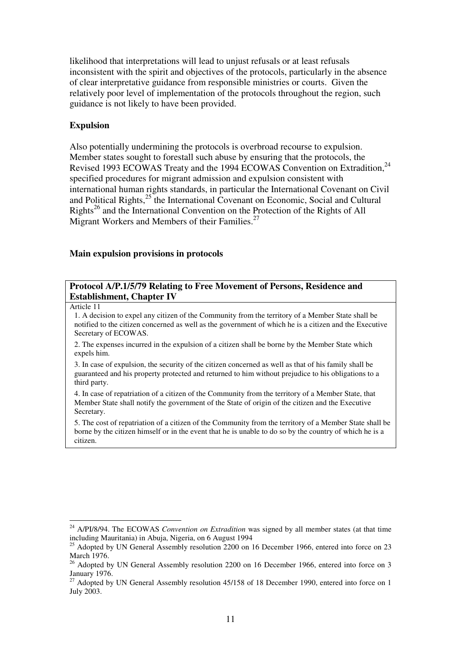likelihood that interpretations will lead to unjust refusals or at least refusals inconsistent with the spirit and objectives of the protocols, particularly in the absence of clear interpretative guidance from responsible ministries or courts. Given the relatively poor level of implementation of the protocols throughout the region, such guidance is not likely to have been provided.

### **Expulsion**

Also potentially undermining the protocols is overbroad recourse to expulsion. Member states sought to forestall such abuse by ensuring that the protocols, the Revised 1993 ECOWAS Treaty and the 1994 ECOWAS Convention on Extradition.<sup>24</sup> specified procedures for migrant admission and expulsion consistent with international human rights standards, in particular the International Covenant on Civil and Political Rights,<sup>25</sup> the International Covenant on Economic, Social and Cultural Rights<sup>26</sup> and the International Convention on the Protection of the Rights of All Migrant Workers and Members of their Families.<sup>27</sup>

### **Main expulsion provisions in protocols**

## **Protocol A/P.1/5/79 Relating to Free Movement of Persons, Residence and Establishment, Chapter IV**

Article 11

 $\overline{a}$ 

1. A decision to expel any citizen of the Community from the territory of a Member State shall be notified to the citizen concerned as well as the government of which he is a citizen and the Executive Secretary of ECOWAS.

2. The expenses incurred in the expulsion of a citizen shall be borne by the Member State which expels him.

3. In case of expulsion, the security of the citizen concerned as well as that of his family shall be guaranteed and his property protected and returned to him without prejudice to his obligations to a third party.

4. In case of repatriation of a citizen of the Community from the territory of a Member State, that Member State shall notify the government of the State of origin of the citizen and the Executive Secretary.

5. The cost of repatriation of a citizen of the Community from the territory of a Member State shall be borne by the citizen himself or in the event that he is unable to do so by the country of which he is a citizen.

<sup>24</sup> A/PI/8/94. The ECOWAS *Convention on Extradition* was signed by all member states (at that time including Mauritania) in Abuja, Nigeria, on 6 August 1994

Adopted by UN General Assembly resolution 2200 on 16 December 1966, entered into force on 23 March 1976.

<sup>&</sup>lt;sup>26</sup> Adopted by UN General Assembly resolution 2200 on 16 December 1966, entered into force on 3 January 1976.

 $27$  Adopted by UN General Assembly resolution 45/158 of 18 December 1990, entered into force on 1 July 2003.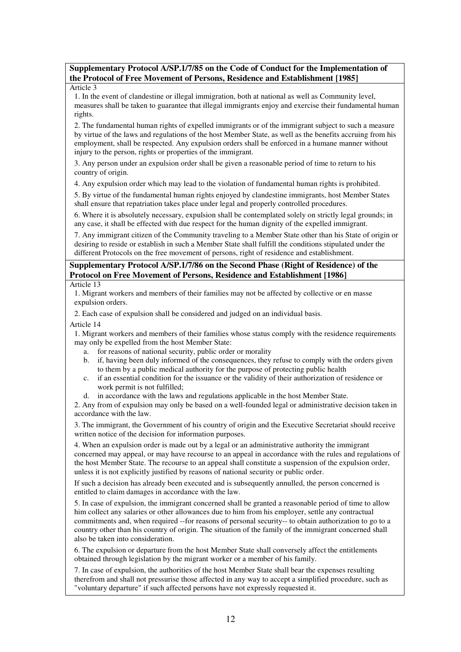# **Supplementary Protocol A/SP.1/7/85 on the Code of Conduct for the Implementation of the Protocol of Free Movement of Persons, Residence and Establishment [1985]**

#### Article 3

1. In the event of clandestine or illegal immigration, both at national as well as Community level, measures shall be taken to guarantee that illegal immigrants enjoy and exercise their fundamental human rights.

2. The fundamental human rights of expelled immigrants or of the immigrant subject to such a measure by virtue of the laws and regulations of the host Member State, as well as the benefits accruing from his employment, shall be respected. Any expulsion orders shall be enforced in a humane manner without injury to the person, rights or properties of the immigrant.

3. Any person under an expulsion order shall be given a reasonable period of time to return to his country of origin.

4. Any expulsion order which may lead to the violation of fundamental human rights is prohibited.

5. By virtue of the fundamental human rights enjoyed by clandestine immigrants, host Member States shall ensure that repatriation takes place under legal and properly controlled procedures.

6. Where it is absolutely necessary, expulsion shall be contemplated solely on strictly legal grounds; in any case, it shall be effected with due respect for the human dignity of the expelled immigrant.

7. Any immigrant citizen of the Community traveling to a Member State other than his State of origin or desiring to reside or establish in such a Member State shall fulfill the conditions stipulated under the different Protocols on the free movement of persons, right of residence and establishment.

# **Supplementary Protocol A/SP.1/7/86 on the Second Phase (Right of Residence) of the Protocol on Free Movement of Persons, Residence and Establishment [1986]**

### Article 13

1. Migrant workers and members of their families may not be affected by collective or en masse expulsion orders.

2. Each case of expulsion shall be considered and judged on an individual basis.

Article 14

1. Migrant workers and members of their families whose status comply with the residence requirements may only be expelled from the host Member State:

- a. for reasons of national security, public order or morality
- b. if, having been duly informed of the consequences, they refuse to comply with the orders given to them by a public medical authority for the purpose of protecting public health
- c. if an essential condition for the issuance or the validity of their authorization of residence or work permit is not fulfilled;
- d. in accordance with the laws and regulations applicable in the host Member State.

2. Any from of expulsion may only be based on a well-founded legal or administrative decision taken in accordance with the law.

3. The immigrant, the Government of his country of origin and the Executive Secretariat should receive written notice of the decision for information purposes.

4. When an expulsion order is made out by a legal or an administrative authority the immigrant concerned may appeal, or may have recourse to an appeal in accordance with the rules and regulations of the host Member State. The recourse to an appeal shall constitute a suspension of the expulsion order, unless it is not explicitly justified by reasons of national security or public order.

If such a decision has already been executed and is subsequently annulled, the person concerned is entitled to claim damages in accordance with the law.

5. In case of expulsion, the immigrant concerned shall be granted a reasonable period of time to allow him collect any salaries or other allowances due to him from his employer, settle any contractual commitments and, when required --for reasons of personal security-- to obtain authorization to go to a country other than his country of origin. The situation of the family of the immigrant concerned shall also be taken into consideration.

6. The expulsion or departure from the host Member State shall conversely affect the entitlements obtained through legislation by the migrant worker or a member of his family.

7. In case of expulsion, the authorities of the host Member State shall bear the expenses resulting therefrom and shall not pressurise those affected in any way to accept a simplified procedure, such as "voluntary departure" if such affected persons have not expressly requested it.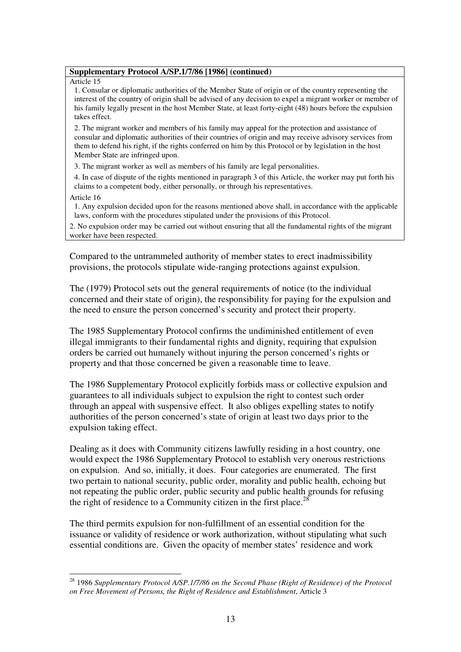#### **Supplementary Protocol A/SP.1/7/86 [1986] (continued)**

#### Article 15

1. Consular or diplomatic authorities of the Member State of origin or of the country representing the interest of the country of origin shall be advised of any decision to expel a migrant worker or member of his family legally present in the host Member State, at least forty-eight (48) hours before the expulsion takes effect.

2. The migrant worker and members of his family may appeal for the protection and assistance of consular and diplomatic authorities of their countries of origin and may receive advisory services from them to defend his right, if the rights conferred on him by this Protocol or by legislation in the host Member State are infringed upon.

3. The migrant worker as well as members of his family are legal personalities.

4. In case of dispute of the rights mentioned in paragraph 3 of this Article, the worker may put forth his claims to a competent body, either personally, or through his representatives.

#### Article 16

 $\overline{a}$ 

1. Any expulsion decided upon for the reasons mentioned above shall, in accordance with the applicable laws, conform with the procedures stipulated under the provisions of this Protocol.

2. No expulsion order may be carried out without ensuring that all the fundamental rights of the migrant worker have been respected.

Compared to the untrammeled authority of member states to erect inadmissibility provisions, the protocols stipulate wide-ranging protections against expulsion.

The (1979) Protocol sets out the general requirements of notice (to the individual concerned and their state of origin), the responsibility for paying for the expulsion and the need to ensure the person concerned's security and protect their property.

The 1985 Supplementary Protocol confirms the undiminished entitlement of even illegal immigrants to their fundamental rights and dignity, requiring that expulsion orders be carried out humanely without injuring the person concerned's rights or property and that those concerned be given a reasonable time to leave.

The 1986 Supplementary Protocol explicitly forbids mass or collective expulsion and guarantees to all individuals subject to expulsion the right to contest such order through an appeal with suspensive effect. It also obliges expelling states to notify authorities of the person concerned's state of origin at least two days prior to the expulsion taking effect.

Dealing as it does with Community citizens lawfully residing in a host country, one would expect the 1986 Supplementary Protocol to establish very onerous restrictions on expulsion. And so, initially, it does. Four categories are enumerated. The first two pertain to national security, public order, morality and public health, echoing but not repeating the public order, public security and public health grounds for refusing the right of residence to a Community citizen in the first place.<sup>28</sup>

The third permits expulsion for non-fulfillment of an essential condition for the issuance or validity of residence or work authorization, without stipulating what such essential conditions are. Given the opacity of member states' residence and work

<sup>28</sup> 1986 *Supplementary Protocol A/SP.1/7/86 on the Second Phase (Right of Residence) of the Protocol on Free Movement of Persons, the Right of Residence and Establishment*, Article 3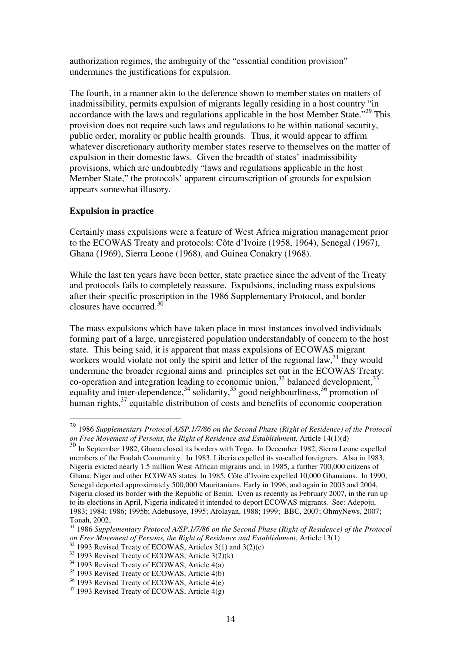authorization regimes, the ambiguity of the "essential condition provision" undermines the justifications for expulsion.

The fourth, in a manner akin to the deference shown to member states on matters of inadmissibility, permits expulsion of migrants legally residing in a host country "in accordance with the laws and regulations applicable in the host Member State."<sup>29</sup> This provision does not require such laws and regulations to be within national security, public order, morality or public health grounds. Thus, it would appear to affirm whatever discretionary authority member states reserve to themselves on the matter of expulsion in their domestic laws. Given the breadth of states' inadmissibility provisions, which are undoubtedly "laws and regulations applicable in the host Member State," the protocols' apparent circumscription of grounds for expulsion appears somewhat illusory.

# **Expulsion in practice**

 $\overline{a}$ 

Certainly mass expulsions were a feature of West Africa migration management prior to the ECOWAS Treaty and protocols: Côte d'Ivoire (1958, 1964), Senegal (1967), Ghana (1969), Sierra Leone (1968), and Guinea Conakry (1968).

While the last ten years have been better, state practice since the advent of the Treaty and protocols fails to completely reassure. Expulsions, including mass expulsions after their specific proscription in the 1986 Supplementary Protocol, and border closures have occurred.<sup>30</sup>

The mass expulsions which have taken place in most instances involved individuals forming part of a large, unregistered population understandably of concern to the host state. This being said, it is apparent that mass expulsions of ECOWAS migrant workers would violate not only the spirit and letter of the regional law,<sup>31</sup> they would undermine the broader regional aims and principles set out in the ECOWAS Treaty: co-operation and integration leading to economic union, $32$  balanced development,  $33$ equality and inter-dependence,  $34$  solidarity,  $35$  good neighbourliness,  $36$  promotion of human rights, $37$  equitable distribution of costs and benefits of economic cooperation

<sup>29</sup> 1986 *Supplementary Protocol A/SP.1/7/86 on the Second Phase (Right of Residence) of the Protocol on Free Movement of Persons, the Right of Residence and Establishment*, Article 14(1)(d)

<sup>&</sup>lt;sup>30</sup> In September 1982, Ghana closed its borders with Togo. In December 1982, Sierra Leone expelled members of the Foulah Community. In 1983, Liberia expelled its so-called foreigners. Also in 1983, Nigeria evicted nearly 1.5 million West African migrants and, in 1985, a further 700,000 citizens of Ghana, Niger and other ECOWAS states. In 1985, Côte d'Ivoire expelled 10,000 Ghanaians. In 1990, Senegal deported approximately 500,000 Mauritanians. Early in 1996, and again in 2003 and 2004, Nigeria closed its border with the Republic of Benin. Even as recently as February 2007, in the run up to its elections in April, Nigeria indicated it intended to deport ECOWAS migrants. See: Adepoju, 1983; 1984; 1986; 1995b; Adebusoye, 1995; Afolayan, 1988; 1999; BBC, 2007; OhmyNews, 2007; Tonah, 2002,

<sup>31</sup> 1986 *Supplementary Protocol A/SP.1/7/86 on the Second Phase (Right of Residence) of the Protocol on Free Movement of Persons, the Right of Residence and Establishment*, Article 13(1)

 $32$  1993 Revised Treaty of ECOWAS, Articles 3(1) and 3(2)(e)

<sup>&</sup>lt;sup>33</sup> 1993 Revised Treaty of ECOWAS, Article 3(2)(k)

<sup>&</sup>lt;sup>34</sup> 1993 Revised Treaty of ECOWAS, Article 4(a)

<sup>&</sup>lt;sup>35</sup> 1993 Revised Treaty of ECOWAS, Article 4(b)

<sup>&</sup>lt;sup>36</sup> 1993 Revised Treaty of ECOWAS, Article 4(e)

<sup>&</sup>lt;sup>37</sup> 1993 Revised Treaty of ECOWAS, Article 4(g)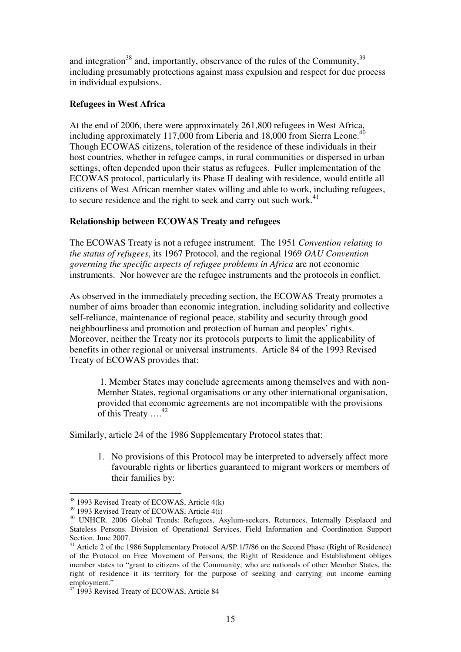and integration<sup>38</sup> and, importantly, observance of the rules of the Community,  $39$ including presumably protections against mass expulsion and respect for due process in individual expulsions.

# **Refugees in West Africa**

At the end of 2006, there were approximately 261,800 refugees in West Africa, including approximately 117,000 from Liberia and 18,000 from Sierra Leone.<sup>40</sup> Though ECOWAS citizens, toleration of the residence of these individuals in their host countries, whether in refugee camps, in rural communities or dispersed in urban settings, often depended upon their status as refugees. Fuller implementation of the ECOWAS protocol, particularly its Phase II dealing with residence, would entitle all citizens of West African member states willing and able to work, including refugees, to secure residence and the right to seek and carry out such work.<sup>41</sup>

# **Relationship between ECOWAS Treaty and refugees**

The ECOWAS Treaty is not a refugee instrument. The 1951 *Convention relating to the status of refugees*, its 1967 Protocol, and the regional 1969 *OAU Convention governing the specific aspects of refugee problems in Africa* are not economic instruments. Nor however are the refugee instruments and the protocols in conflict.

As observed in the immediately preceding section, the ECOWAS Treaty promotes a number of aims broader than economic integration, including solidarity and collective self-reliance, maintenance of regional peace, stability and security through good neighbourliness and promotion and protection of human and peoples' rights. Moreover, neither the Treaty nor its protocols purports to limit the applicability of benefits in other regional or universal instruments. Article 84 of the 1993 Revised Treaty of ECOWAS provides that:

 1. Member States may conclude agreements among themselves and with non-Member States, regional organisations or any other international organisation, provided that economic agreements are not incompatible with the provisions of this Treaty ....<sup>42</sup>

Similarly, article 24 of the 1986 Supplementary Protocol states that:

1. No provisions of this Protocol may be interpreted to adversely affect more favourable rights or liberties guaranteed to migrant workers or members of their families by:

 $\overline{a}$  $38$  1993 Revised Treaty of ECOWAS, Article 4(k)

<sup>&</sup>lt;sup>39</sup> 1993 Revised Treaty of ECOWAS, Article 4(i)

<sup>&</sup>lt;sup>40</sup> UNHCR. 2006 Global Trends: Refugees, Asylum-seekers, Returnees, Internally Displaced and Stateless Persons. Division of Operational Services, Field Information and Coordination Support Section, June 2007.

<sup>&</sup>lt;sup>41</sup> Article 2 of the 1986 Supplementary Protocol A/SP.1/7/86 on the Second Phase (Right of Residence) of the Protocol on Free Movement of Persons, the Right of Residence and Establishment obliges member states to "grant to citizens of the Community, who are nationals of other Member States, the right of residence it its territory for the purpose of seeking and carrying out income earning employment."

<sup>&</sup>lt;sup>42</sup> 1993 Revised Treaty of ECOWAS, Article 84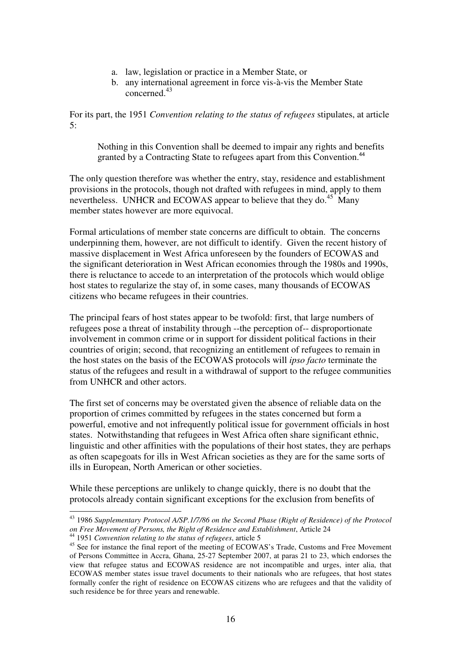- a. law, legislation or practice in a Member State, or
- b. any international agreement in force vis-à-vis the Member State concerned.<sup>43</sup>

For its part, the 1951 *Convention relating to the status of refugees* stipulates, at article 5:

Nothing in this Convention shall be deemed to impair any rights and benefits granted by a Contracting State to refugees apart from this Convention.<sup>44</sup>

The only question therefore was whether the entry, stay, residence and establishment provisions in the protocols, though not drafted with refugees in mind, apply to them nevertheless. UNHCR and ECOWAS appear to believe that they do.<sup>45</sup> Many member states however are more equivocal.

Formal articulations of member state concerns are difficult to obtain. The concerns underpinning them, however, are not difficult to identify. Given the recent history of massive displacement in West Africa unforeseen by the founders of ECOWAS and the significant deterioration in West African economies through the 1980s and 1990s, there is reluctance to accede to an interpretation of the protocols which would oblige host states to regularize the stay of, in some cases, many thousands of ECOWAS citizens who became refugees in their countries.

The principal fears of host states appear to be twofold: first, that large numbers of refugees pose a threat of instability through --the perception of-- disproportionate involvement in common crime or in support for dissident political factions in their countries of origin; second, that recognizing an entitlement of refugees to remain in the host states on the basis of the ECOWAS protocols will *ipso facto* terminate the status of the refugees and result in a withdrawal of support to the refugee communities from UNHCR and other actors.

The first set of concerns may be overstated given the absence of reliable data on the proportion of crimes committed by refugees in the states concerned but form a powerful, emotive and not infrequently political issue for government officials in host states. Notwithstanding that refugees in West Africa often share significant ethnic, linguistic and other affinities with the populations of their host states, they are perhaps as often scapegoats for ills in West African societies as they are for the same sorts of ills in European, North American or other societies.

While these perceptions are unlikely to change quickly, there is no doubt that the protocols already contain significant exceptions for the exclusion from benefits of

 $\overline{a}$ 

<sup>43</sup> 1986 *Supplementary Protocol A/SP.1/7/86 on the Second Phase (Right of Residence) of the Protocol on Free Movement of Persons, the Right of Residence and Establishment*, Article 24

<sup>44</sup> 1951 *Convention relating to the status of refugees*, article 5

<sup>&</sup>lt;sup>45</sup> See for instance the final report of the meeting of ECOWAS's Trade, Customs and Free Movement of Persons Committee in Accra, Ghana, 25-27 September 2007, at paras 21 to 23, which endorses the view that refugee status and ECOWAS residence are not incompatible and urges, inter alia, that ECOWAS member states issue travel documents to their nationals who are refugees, that host states formally confer the right of residence on ECOWAS citizens who are refugees and that the validity of such residence be for three years and renewable.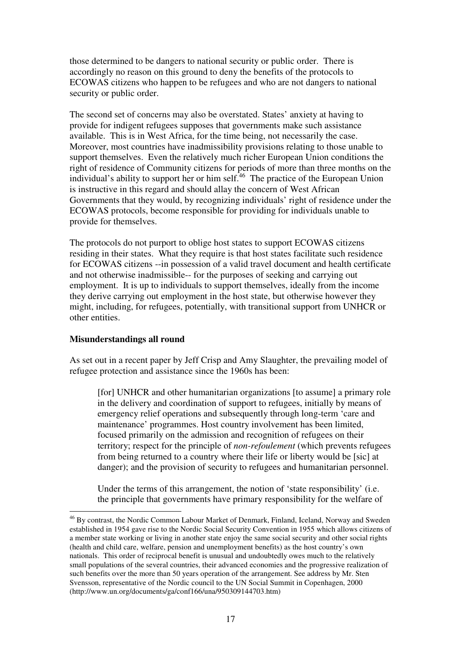those determined to be dangers to national security or public order. There is accordingly no reason on this ground to deny the benefits of the protocols to ECOWAS citizens who happen to be refugees and who are not dangers to national security or public order.

The second set of concerns may also be overstated. States' anxiety at having to provide for indigent refugees supposes that governments make such assistance available. This is in West Africa, for the time being, not necessarily the case. Moreover, most countries have inadmissibility provisions relating to those unable to support themselves. Even the relatively much richer European Union conditions the right of residence of Community citizens for periods of more than three months on the individual's ability to support her or him self.<sup>46</sup> The practice of the European Union is instructive in this regard and should allay the concern of West African Governments that they would, by recognizing individuals' right of residence under the ECOWAS protocols, become responsible for providing for individuals unable to provide for themselves.

The protocols do not purport to oblige host states to support ECOWAS citizens residing in their states. What they require is that host states facilitate such residence for ECOWAS citizens --in possession of a valid travel document and health certificate and not otherwise inadmissible-- for the purposes of seeking and carrying out employment. It is up to individuals to support themselves, ideally from the income they derive carrying out employment in the host state, but otherwise however they might, including, for refugees, potentially, with transitional support from UNHCR or other entities.

# **Misunderstandings all round**

 $\overline{a}$ 

As set out in a recent paper by Jeff Crisp and Amy Slaughter, the prevailing model of refugee protection and assistance since the 1960s has been:

[for] UNHCR and other humanitarian organizations [to assume] a primary role in the delivery and coordination of support to refugees, initially by means of emergency relief operations and subsequently through long-term 'care and maintenance' programmes. Host country involvement has been limited, focused primarily on the admission and recognition of refugees on their territory; respect for the principle of *non-refoulement* (which prevents refugees from being returned to a country where their life or liberty would be [sic] at danger); and the provision of security to refugees and humanitarian personnel.

Under the terms of this arrangement, the notion of 'state responsibility' (i.e. the principle that governments have primary responsibility for the welfare of

<sup>&</sup>lt;sup>46</sup> By contrast, the Nordic Common Labour Market of Denmark, Finland, Iceland, Norway and Sweden established in 1954 gave rise to the Nordic Social Security Convention in 1955 which allows citizens of a member state working or living in another state enjoy the same social security and other social rights (health and child care, welfare, pension and unemployment benefits) as the host country's own nationals. This order of reciprocal benefit is unusual and undoubtedly owes much to the relatively small populations of the several countries, their advanced economies and the progressive realization of such benefits over the more than 50 years operation of the arrangement. See address by Mr. Sten Svensson, representative of the Nordic council to the UN Social Summit in Copenhagen, 2000 (http://www.un.org/documents/ga/conf166/una/950309144703.htm)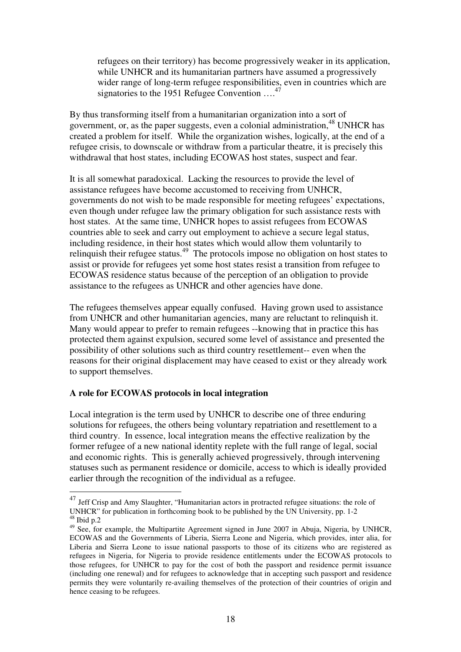refugees on their territory) has become progressively weaker in its application, while UNHCR and its humanitarian partners have assumed a progressively wider range of long-term refugee responsibilities, even in countries which are signatories to the 1951 Refugee Convention ....<sup>47</sup>

By thus transforming itself from a humanitarian organization into a sort of government, or, as the paper suggests, even a colonial administration,<sup>48</sup> UNHCR has created a problem for itself. While the organization wishes, logically, at the end of a refugee crisis, to downscale or withdraw from a particular theatre, it is precisely this withdrawal that host states, including ECOWAS host states, suspect and fear.

It is all somewhat paradoxical. Lacking the resources to provide the level of assistance refugees have become accustomed to receiving from UNHCR, governments do not wish to be made responsible for meeting refugees' expectations, even though under refugee law the primary obligation for such assistance rests with host states. At the same time, UNHCR hopes to assist refugees from ECOWAS countries able to seek and carry out employment to achieve a secure legal status, including residence, in their host states which would allow them voluntarily to relinquish their refugee status.<sup>49</sup> The protocols impose no obligation on host states to assist or provide for refugees yet some host states resist a transition from refugee to ECOWAS residence status because of the perception of an obligation to provide assistance to the refugees as UNHCR and other agencies have done.

The refugees themselves appear equally confused. Having grown used to assistance from UNHCR and other humanitarian agencies, many are reluctant to relinquish it. Many would appear to prefer to remain refugees --knowing that in practice this has protected them against expulsion, secured some level of assistance and presented the possibility of other solutions such as third country resettlement-- even when the reasons for their original displacement may have ceased to exist or they already work to support themselves.

# **A role for ECOWAS protocols in local integration**

 $\overline{a}$ 

Local integration is the term used by UNHCR to describe one of three enduring solutions for refugees, the others being voluntary repatriation and resettlement to a third country. In essence, local integration means the effective realization by the former refugee of a new national identity replete with the full range of legal, social and economic rights. This is generally achieved progressively, through intervening statuses such as permanent residence or domicile, access to which is ideally provided earlier through the recognition of the individual as a refugee.

 $47$  Jeff Crisp and Amy Slaughter, "Humanitarian actors in protracted refugee situations: the role of UNHCR" for publication in forthcoming book to be published by the UN University, pp. 1-2  $48$  Ibid p.2

<sup>&</sup>lt;sup>49</sup> See, for example, the Multipartite Agreement signed in June 2007 in Abuja, Nigeria, by UNHCR, ECOWAS and the Governments of Liberia, Sierra Leone and Nigeria, which provides, inter alia, for Liberia and Sierra Leone to issue national passports to those of its citizens who are registered as refugees in Nigeria, for Nigeria to provide residence entitlements under the ECOWAS protocols to those refugees, for UNHCR to pay for the cost of both the passport and residence permit issuance (including one renewal) and for refugees to acknowledge that in accepting such passport and residence permits they were voluntarily re-availing themselves of the protection of their countries of origin and hence ceasing to be refugees.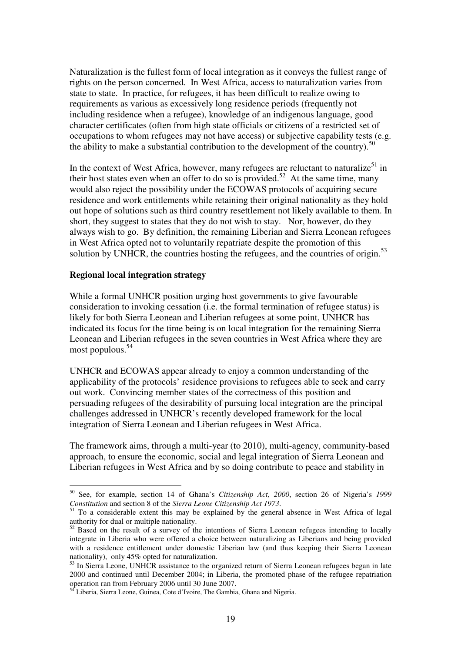Naturalization is the fullest form of local integration as it conveys the fullest range of rights on the person concerned. In West Africa, access to naturalization varies from state to state. In practice, for refugees, it has been difficult to realize owing to requirements as various as excessively long residence periods (frequently not including residence when a refugee), knowledge of an indigenous language, good character certificates (often from high state officials or citizens of a restricted set of occupations to whom refugees may not have access) or subjective capability tests (e.g. the ability to make a substantial contribution to the development of the country).<sup>50</sup>

In the context of West Africa, however, many refugees are reluctant to naturalize<sup>51</sup> in their host states even when an offer to do so is provided.<sup>52</sup> At the same time, many would also reject the possibility under the ECOWAS protocols of acquiring secure residence and work entitlements while retaining their original nationality as they hold out hope of solutions such as third country resettlement not likely available to them. In short, they suggest to states that they do not wish to stay. Nor, however, do they always wish to go. By definition, the remaining Liberian and Sierra Leonean refugees in West Africa opted not to voluntarily repatriate despite the promotion of this solution by UNHCR, the countries hosting the refugees, and the countries of origin.<sup>53</sup>

# **Regional local integration strategy**

 $\overline{a}$ 

While a formal UNHCR position urging host governments to give favourable consideration to invoking cessation (i.e. the formal termination of refugee status) is likely for both Sierra Leonean and Liberian refugees at some point, UNHCR has indicated its focus for the time being is on local integration for the remaining Sierra Leonean and Liberian refugees in the seven countries in West Africa where they are most populous.<sup>54</sup>

UNHCR and ECOWAS appear already to enjoy a common understanding of the applicability of the protocols' residence provisions to refugees able to seek and carry out work. Convincing member states of the correctness of this position and persuading refugees of the desirability of pursuing local integration are the principal challenges addressed in UNHCR's recently developed framework for the local integration of Sierra Leonean and Liberian refugees in West Africa.

The framework aims, through a multi-year (to 2010), multi-agency, community-based approach, to ensure the economic, social and legal integration of Sierra Leonean and Liberian refugees in West Africa and by so doing contribute to peace and stability in

<sup>50</sup> See, for example, section 14 of Ghana's *Citizenship Act, 2000*, section 26 of Nigeria's *1999 Constitution* and section 8 of the *Sierra Leone Citizenship Act 1973*.

<sup>&</sup>lt;sup>51</sup> To a considerable extent this may be explained by the general absence in West Africa of legal authority for dual or multiple nationality.

 $\frac{52}{2}$  Based on the result of a survey of the intentions of Sierra Leonean refugees intending to locally integrate in Liberia who were offered a choice between naturalizing as Liberians and being provided with a residence entitlement under domestic Liberian law (and thus keeping their Sierra Leonean nationality), only 45% opted for naturalization.

<sup>&</sup>lt;sup>53</sup> In Sierra Leone, UNHCR assistance to the organized return of Sierra Leonean refugees began in late 2000 and continued until December 2004; in Liberia, the promoted phase of the refugee repatriation operation ran from February 2006 until 30 June 2007.

<sup>&</sup>lt;sup>54</sup> Liberia, Sierra Leone, Guinea, Cote d'Ivoire, The Gambia, Ghana and Nigeria.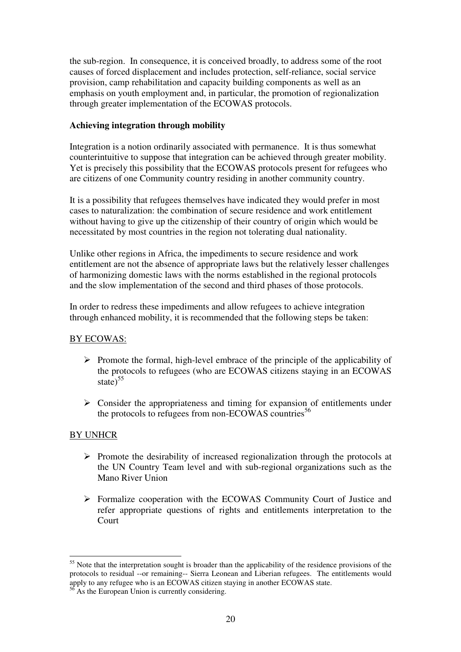the sub-region. In consequence, it is conceived broadly, to address some of the root causes of forced displacement and includes protection, self-reliance, social service provision, camp rehabilitation and capacity building components as well as an emphasis on youth employment and, in particular, the promotion of regionalization through greater implementation of the ECOWAS protocols.

# **Achieving integration through mobility**

Integration is a notion ordinarily associated with permanence. It is thus somewhat counterintuitive to suppose that integration can be achieved through greater mobility. Yet is precisely this possibility that the ECOWAS protocols present for refugees who are citizens of one Community country residing in another community country.

It is a possibility that refugees themselves have indicated they would prefer in most cases to naturalization: the combination of secure residence and work entitlement without having to give up the citizenship of their country of origin which would be necessitated by most countries in the region not tolerating dual nationality.

Unlike other regions in Africa, the impediments to secure residence and work entitlement are not the absence of appropriate laws but the relatively lesser challenges of harmonizing domestic laws with the norms established in the regional protocols and the slow implementation of the second and third phases of those protocols.

In order to redress these impediments and allow refugees to achieve integration through enhanced mobility, it is recommended that the following steps be taken:

# BY ECOWAS:

- $\triangleright$  Promote the formal, high-level embrace of the principle of the applicability of the protocols to refugees (who are ECOWAS citizens staying in an ECOWAS state $^{55}$
- $\triangleright$  Consider the appropriateness and timing for expansion of entitlements under the protocols to refugees from non-ECOWAS countries<sup>56</sup>

# BY UNHCR

- $\triangleright$  Promote the desirability of increased regionalization through the protocols at the UN Country Team level and with sub-regional organizations such as the Mano River Union
- Formalize cooperation with the ECOWAS Community Court of Justice and refer appropriate questions of rights and entitlements interpretation to the **Court**

 $\overline{a}$ <sup>55</sup> Note that the interpretation sought is broader than the applicability of the residence provisions of the protocols to residual --or remaining-- Sierra Leonean and Liberian refugees. The entitlements would apply to any refugee who is an ECOWAS citizen staying in another ECOWAS state.

As the European Union is currently considering.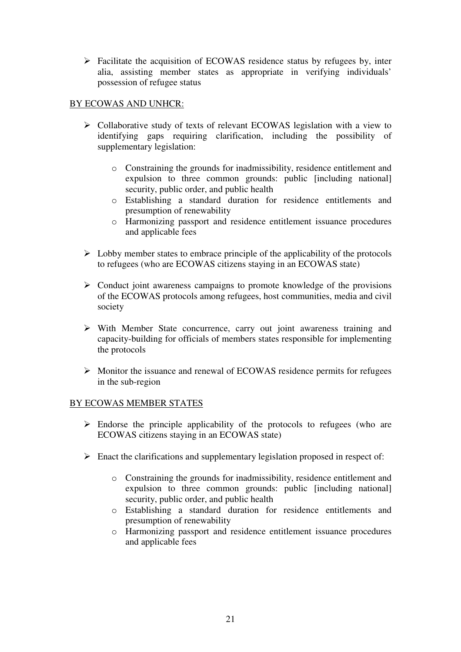$\triangleright$  Facilitate the acquisition of ECOWAS residence status by refugees by, inter alia, assisting member states as appropriate in verifying individuals' possession of refugee status

# BY ECOWAS AND UNHCR:

- Collaborative study of texts of relevant ECOWAS legislation with a view to identifying gaps requiring clarification, including the possibility of supplementary legislation:
	- o Constraining the grounds for inadmissibility, residence entitlement and expulsion to three common grounds: public [including national] security, public order, and public health
	- o Establishing a standard duration for residence entitlements and presumption of renewability
	- o Harmonizing passport and residence entitlement issuance procedures and applicable fees
- $\triangleright$  Lobby member states to embrace principle of the applicability of the protocols to refugees (who are ECOWAS citizens staying in an ECOWAS state)
- $\triangleright$  Conduct joint awareness campaigns to promote knowledge of the provisions of the ECOWAS protocols among refugees, host communities, media and civil society
- $\triangleright$  With Member State concurrence, carry out joint awareness training and capacity-building for officials of members states responsible for implementing the protocols
- $\triangleright$  Monitor the issuance and renewal of ECOWAS residence permits for refugees in the sub-region

# BY ECOWAS MEMBER STATES

- $\triangleright$  Endorse the principle applicability of the protocols to refugees (who are ECOWAS citizens staying in an ECOWAS state)
- $\triangleright$  Enact the clarifications and supplementary legislation proposed in respect of:
	- o Constraining the grounds for inadmissibility, residence entitlement and expulsion to three common grounds: public [including national] security, public order, and public health
	- o Establishing a standard duration for residence entitlements and presumption of renewability
	- o Harmonizing passport and residence entitlement issuance procedures and applicable fees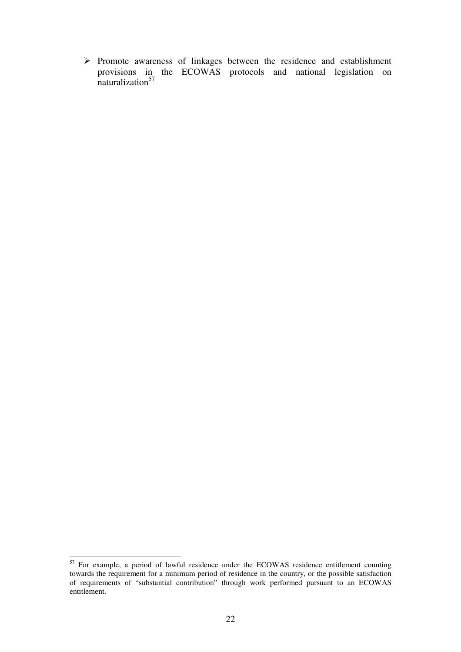$\triangleright$  Promote awareness of linkages between the residence and establishment provisions in the ECOWAS protocols and national legislation on naturalization<sup>57</sup>

 $\overline{a}$  $57$  For example, a period of lawful residence under the ECOWAS residence entitlement counting towards the requirement for a minimum period of residence in the country, or the possible satisfaction of requirements of "substantial contribution" through work performed pursuant to an ECOWAS entitlement.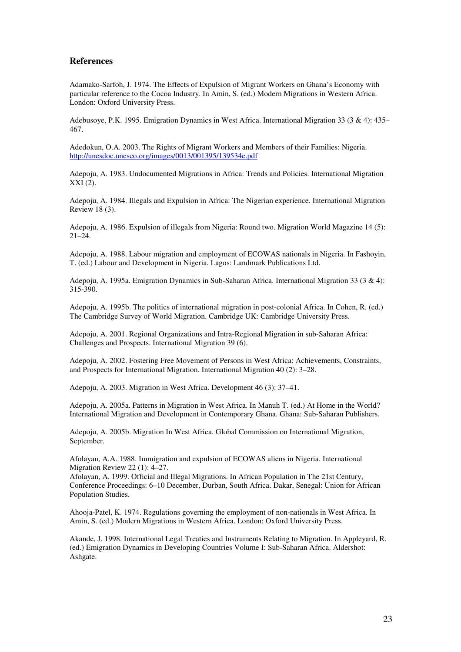### **References**

Adamako-Sarfoh, J. 1974. The Effects of Expulsion of Migrant Workers on Ghana's Economy with particular reference to the Cocoa Industry. In Amin, S. (ed.) Modern Migrations in Western Africa. London: Oxford University Press.

Adebusoye, P.K. 1995. Emigration Dynamics in West Africa. International Migration 33 (3 & 4): 435– 467.

Adedokun, O.A. 2003. The Rights of Migrant Workers and Members of their Families: Nigeria. http://unesdoc.unesco.org/images/0013/001395/139534e.pdf

Adepoju, A. 1983. Undocumented Migrations in Africa: Trends and Policies. International Migration XXI (2).

Adepoju, A. 1984. Illegals and Expulsion in Africa: The Nigerian experience. International Migration Review 18 (3).

Adepoju, A. 1986. Expulsion of illegals from Nigeria: Round two. Migration World Magazine 14 (5): 21–24.

Adepoju, A. 1988. Labour migration and employment of ECOWAS nationals in Nigeria. In Fashoyin, T. (ed.) Labour and Development in Nigeria. Lagos: Landmark Publications Ltd.

Adepoju, A. 1995a. Emigration Dynamics in Sub-Saharan Africa. International Migration 33 (3 & 4): 315-390.

Adepoju, A. 1995b. The politics of international migration in post-colonial Africa. In Cohen, R. (ed.) The Cambridge Survey of World Migration. Cambridge UK: Cambridge University Press.

Adepoju, A. 2001. Regional Organizations and Intra-Regional Migration in sub-Saharan Africa: Challenges and Prospects. International Migration 39 (6).

Adepoju, A. 2002. Fostering Free Movement of Persons in West Africa: Achievements, Constraints, and Prospects for International Migration. International Migration 40 (2): 3–28.

Adepoju, A. 2003. Migration in West Africa. Development 46 (3): 37–41.

Adepoju, A. 2005a. Patterns in Migration in West Africa. In Manuh T. (ed.) At Home in the World? International Migration and Development in Contemporary Ghana. Ghana: Sub-Saharan Publishers.

Adepoju, A. 2005b. Migration In West Africa. Global Commission on International Migration, September.

Afolayan, A.A. 1988. Immigration and expulsion of ECOWAS aliens in Nigeria. International Migration Review 22 (1): 4–27.

Afolayan, A. 1999. Official and Illegal Migrations. In African Population in The 21st Century, Conference Proceedings: 6–10 December, Durban, South Africa. Dakar, Senegal: Union for African Population Studies.

Ahooja-Patel, K. 1974. Regulations governing the employment of non-nationals in West Africa. In Amin, S. (ed.) Modern Migrations in Western Africa. London: Oxford University Press.

Akande, J. 1998. International Legal Treaties and Instruments Relating to Migration. In Appleyard, R. (ed.) Emigration Dynamics in Developing Countries Volume I: Sub-Saharan Africa. Aldershot: Ashgate.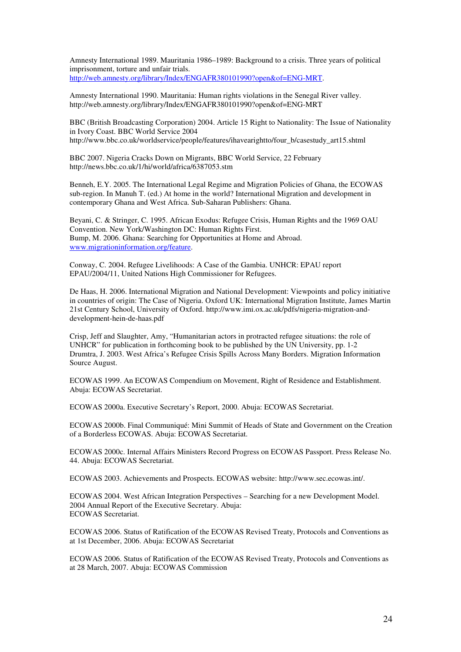Amnesty International 1989. Mauritania 1986–1989: Background to a crisis. Three years of political imprisonment, torture and unfair trials. http://web.amnesty.org/library/Index/ENGAFR380101990?open&of=ENG-MRT.

Amnesty International 1990. Mauritania: Human rights violations in the Senegal River valley. http://web.amnesty.org/library/Index/ENGAFR380101990?open&of=ENG-MRT

BBC (British Broadcasting Corporation) 2004. Article 15 Right to Nationality: The Issue of Nationality in Ivory Coast. BBC World Service 2004 http://www.bbc.co.uk/worldservice/people/features/ihavearightto/four\_b/casestudy\_art15.shtml

BBC 2007. Nigeria Cracks Down on Migrants, BBC World Service, 22 February http://news.bbc.co.uk/1/hi/world/africa/6387053.stm

Benneh, E.Y. 2005. The International Legal Regime and Migration Policies of Ghana, the ECOWAS sub-region. In Manuh T. (ed.) At home in the world? International Migration and development in contemporary Ghana and West Africa. Sub-Saharan Publishers: Ghana.

Beyani, C. & Stringer, C. 1995. African Exodus: Refugee Crisis, Human Rights and the 1969 OAU Convention. New York/Washington DC: Human Rights First. Bump, M. 2006. Ghana: Searching for Opportunities at Home and Abroad. www.migrationinformation.org/feature.

Conway, C. 2004. Refugee Livelihoods: A Case of the Gambia. UNHCR: EPAU report EPAU/2004/11, United Nations High Commissioner for Refugees.

De Haas, H. 2006. International Migration and National Development: Viewpoints and policy initiative in countries of origin: The Case of Nigeria. Oxford UK: International Migration Institute, James Martin 21st Century School, University of Oxford. http://www.imi.ox.ac.uk/pdfs/nigeria-migration-anddevelopment-hein-de-haas.pdf

Crisp, Jeff and Slaughter, Amy, "Humanitarian actors in protracted refugee situations: the role of UNHCR" for publication in forthcoming book to be published by the UN University, pp. 1-2 Drumtra, J. 2003. West Africa's Refugee Crisis Spills Across Many Borders. Migration Information Source August.

ECOWAS 1999. An ECOWAS Compendium on Movement, Right of Residence and Establishment. Abuja: ECOWAS Secretariat.

ECOWAS 2000a. Executive Secretary's Report, 2000. Abuja: ECOWAS Secretariat.

ECOWAS 2000b. Final Communiqué: Mini Summit of Heads of State and Government on the Creation of a Borderless ECOWAS. Abuja: ECOWAS Secretariat.

ECOWAS 2000c. Internal Affairs Ministers Record Progress on ECOWAS Passport. Press Release No. 44. Abuja: ECOWAS Secretariat.

ECOWAS 2003. Achievements and Prospects. ECOWAS website: http://www.sec.ecowas.int/.

ECOWAS 2004. West African Integration Perspectives – Searching for a new Development Model. 2004 Annual Report of the Executive Secretary. Abuja: ECOWAS Secretariat.

ECOWAS 2006. Status of Ratification of the ECOWAS Revised Treaty, Protocols and Conventions as at 1st December, 2006. Abuja: ECOWAS Secretariat

ECOWAS 2006. Status of Ratification of the ECOWAS Revised Treaty, Protocols and Conventions as at 28 March, 2007. Abuja: ECOWAS Commission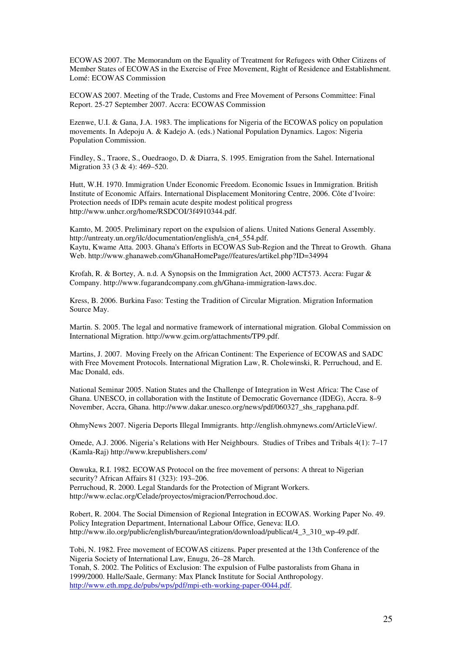ECOWAS 2007. The Memorandum on the Equality of Treatment for Refugees with Other Citizens of Member States of ECOWAS in the Exercise of Free Movement, Right of Residence and Establishment. Lomé: ECOWAS Commission

ECOWAS 2007. Meeting of the Trade, Customs and Free Movement of Persons Committee: Final Report. 25-27 September 2007. Accra: ECOWAS Commission

Ezenwe, U.I. & Gana, J.A. 1983. The implications for Nigeria of the ECOWAS policy on population movements. In Adepoju A. & Kadejo A. (eds.) National Population Dynamics. Lagos: Nigeria Population Commission.

Findley, S., Traore, S., Ouedraogo, D. & Diarra, S. 1995. Emigration from the Sahel. International Migration 33 (3 & 4): 469–520.

Hutt, W.H. 1970. Immigration Under Economic Freedom. Economic Issues in Immigration. British Institute of Economic Affairs. International Displacement Monitoring Centre, 2006. Côte d'Ivoire: Protection needs of IDPs remain acute despite modest political progress http://www.unhcr.org/home/RSDCOI/3f4910344.pdf.

Kamto, M. 2005. Preliminary report on the expulsion of aliens. United Nations General Assembly. http://untreaty.un.org/ilc/documentation/english/a\_cn4\_554.pdf. Kaytu, Kwame Atta. 2003. Ghana's Efforts in ECOWAS Sub-Region and the Threat to Growth. Ghana Web. http://www.ghanaweb.com/GhanaHomePage//features/artikel.php?ID=34994

Krofah, R. & Bortey, A. n.d. A Synopsis on the Immigration Act, 2000 ACT573. Accra: Fugar & Company. http://www.fugarandcompany.com.gh/Ghana-immigration-laws.doc.

Kress, B. 2006. Burkina Faso: Testing the Tradition of Circular Migration. Migration Information Source May.

Martin. S. 2005. The legal and normative framework of international migration. Global Commission on International Migration. http://www.gcim.org/attachments/TP9.pdf.

Martins, J. 2007. Moving Freely on the African Continent: The Experience of ECOWAS and SADC with Free Movement Protocols. International Migration Law, R. Cholewinski, R. Perruchoud, and E. Mac Donald, eds.

National Seminar 2005. Nation States and the Challenge of Integration in West Africa: The Case of Ghana. UNESCO, in collaboration with the Institute of Democratic Governance (IDEG), Accra. 8–9 November, Accra, Ghana. http://www.dakar.unesco.org/news/pdf/060327\_shs\_rapghana.pdf.

OhmyNews 2007. Nigeria Deports Illegal Immigrants. http://english.ohmynews.com/ArticleView/.

Omede, A.J. 2006. Nigeria's Relations with Her Neighbours. Studies of Tribes and Tribals 4(1): 7–17 (Kamla-Raj) http://www.krepublishers.com/

Onwuka, R.I. 1982. ECOWAS Protocol on the free movement of persons: A threat to Nigerian security? African Affairs 81 (323): 193–206. Perruchoud, R. 2000. Legal Standards for the Protection of Migrant Workers. http://www.eclac.org/Celade/proyectos/migracion/Perrochoud.doc.

Robert, R. 2004. The Social Dimension of Regional Integration in ECOWAS. Working Paper No. 49. Policy Integration Department, International Labour Office, Geneva: ILO. http://www.ilo.org/public/english/bureau/integration/download/publicat/4\_3\_310\_wp-49.pdf.

Tobi, N. 1982. Free movement of ECOWAS citizens. Paper presented at the 13th Conference of the Nigeria Society of International Law, Enugu, 26–28 March. Tonah, S. 2002. The Politics of Exclusion: The expulsion of Fulbe pastoralists from Ghana in 1999/2000. Halle/Saale, Germany: Max Planck Institute for Social Anthropology. http://www.eth.mpg.de/pubs/wps/pdf/mpi-eth-working-paper-0044.pdf.